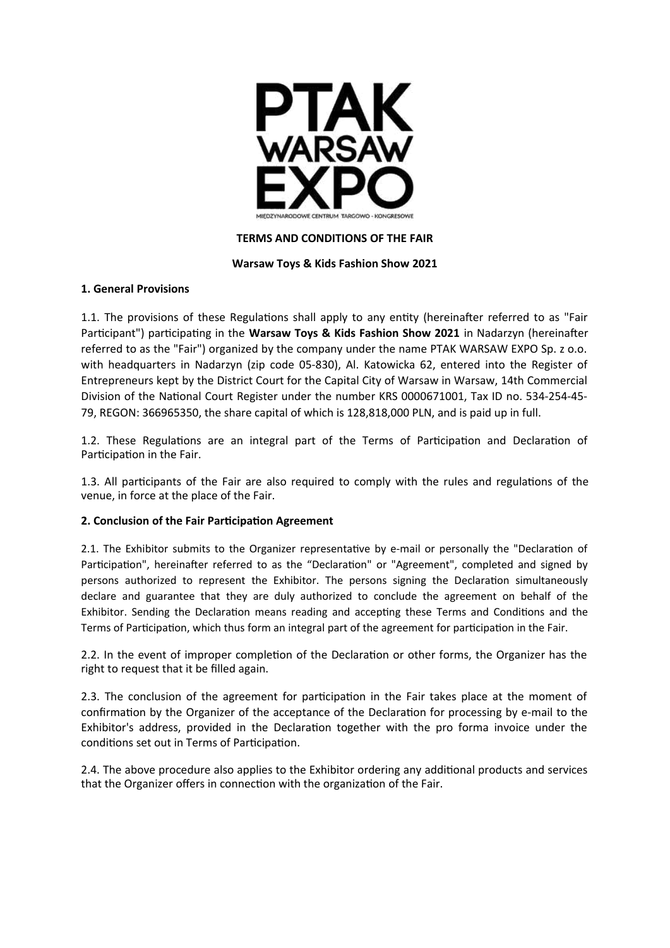

## **TERMS AND CONDITIONS OF THE FAIR**

### **Warsaw Toys & Kids Fashion Show 2021**

### **1. General Provisions**

1.1. The provisions of these Regulations shall apply to any entity (hereinafter referred to as "Fair Participant") participating in the **Warsaw Toys & Kids Fashion Show 2021** in Nadarzyn (hereinafter referred to as the "Fair") organized by the company under the name PTAK WARSAW EXPO Sp. z o.o. with headquarters in Nadarzyn (zip code 05-830), Al. Katowicka 62, entered into the Register of Entrepreneurs kept by the District Court for the Capital City of Warsaw in Warsaw, 14th Commercial Division of the National Court Register under the number KRS 0000671001, Tax ID no. 534-254-45- 79, REGON: 366965350, the share capital of which is 128,818,000 PLN, and is paid up in full.

1.2. These Regulations are an integral part of the Terms of Participation and Declaration of Participation in the Fair.

1.3. All participants of the Fair are also required to comply with the rules and regulations of the venue, in force at the place of the Fair.

### **2. Conclusion of the Fair Participation Agreement**

2.1. The Exhibitor submits to the Organizer representative by e-mail or personally the "Declaration of Participation", hereinafter referred to as the "Declaration" or "Agreement", completed and signed by persons authorized to represent the Exhibitor. The persons signing the Declaration simultaneously declare and guarantee that they are duly authorized to conclude the agreement on behalf of the Exhibitor. Sending the Declaration means reading and accepting these Terms and Conditions and the Terms of Participation, which thus form an integral part of the agreement for participation in the Fair.

2.2. In the event of improper completion of the Declaration or other forms, the Organizer has the right to request that it be filled again.

2.3. The conclusion of the agreement for participation in the Fair takes place at the moment of confirmation by the Organizer of the acceptance of the Declaration for processing by e-mail to the Exhibitor's address, provided in the Declaration together with the pro forma invoice under the conditions set out in Terms of Participation.

2.4. The above procedure also applies to the Exhibitor ordering any additional products and services that the Organizer offers in connection with the organization of the Fair.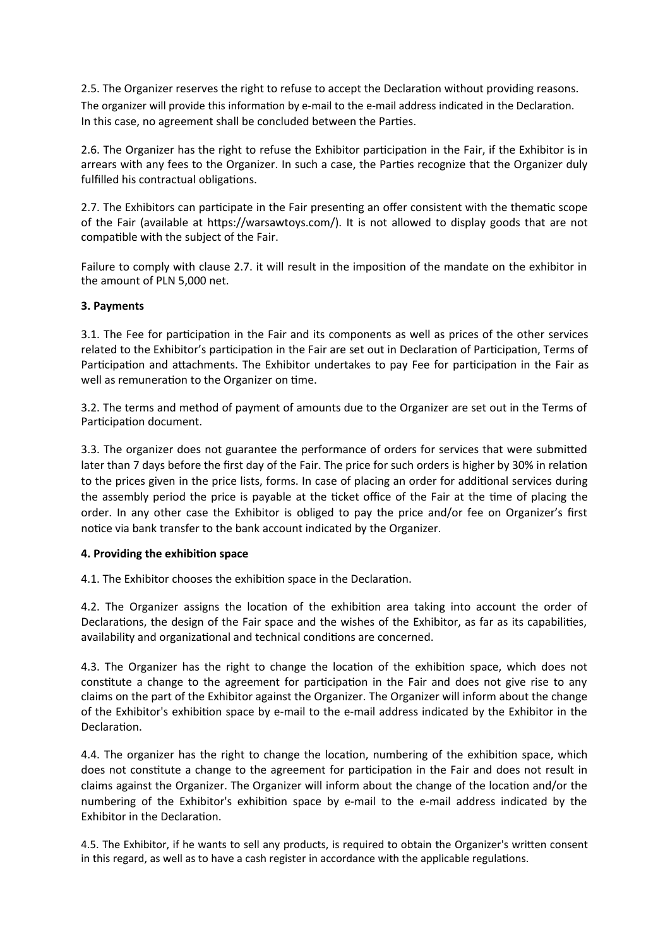2.5. The Organizer reserves the right to refuse to accept the Declaration without providing reasons. The organizer will provide this information by e-mail to the e-mail address indicated in the Declaration. In this case, no agreement shall be concluded between the Parties.

2.6. The Organizer has the right to refuse the Exhibitor participation in the Fair, if the Exhibitor is in arrears with any fees to the Organizer. In such a case, the Parties recognize that the Organizer duly fulfilled his contractual obligations.

2.7. The Exhibitors can participate in the Fair presenting an offer consistent with the thematic scope of the Fair (available at https://warsawtoys.com/). It is not allowed to display goods that are not compatible with the subject of the Fair.

Failure to comply with clause 2.7. it will result in the imposition of the mandate on the exhibitor in the amount of PLN 5,000 net.

### **3. Payments**

3.1. The Fee for participation in the Fair and its components as well as prices of the other services related to the Exhibitor's participation in the Fair are set out in Declaration of Participation, Terms of Participation and attachments. The Exhibitor undertakes to pay Fee for participation in the Fair as well as remuneration to the Organizer on time.

3.2. The terms and method of payment of amounts due to the Organizer are set out in the Terms of Participation document.

3.3. The organizer does not guarantee the performance of orders for services that were submitted later than 7 days before the first day of the Fair. The price for such orders is higher by 30% in relation to the prices given in the price lists, forms. In case of placing an order for additional services during the assembly period the price is payable at the ticket office of the Fair at the time of placing the order. In any other case the Exhibitor is obliged to pay the price and/or fee on Organizer's first notice via bank transfer to the bank account indicated by the Organizer.

#### **4. Providing the exhibition space**

4.1. The Exhibitor chooses the exhibition space in the Declaration.

4.2. The Organizer assigns the location of the exhibition area taking into account the order of Declarations, the design of the Fair space and the wishes of the Exhibitor, as far as its capabilities, availability and organizational and technical conditions are concerned.

4.3. The Organizer has the right to change the location of the exhibition space, which does not constitute a change to the agreement for participation in the Fair and does not give rise to any claims on the part of the Exhibitor against the Organizer. The Organizer will inform about the change of the Exhibitor's exhibition space by e-mail to the e-mail address indicated by the Exhibitor in the Declaration.

4.4. The organizer has the right to change the location, numbering of the exhibition space, which does not constitute a change to the agreement for participation in the Fair and does not result in claims against the Organizer. The Organizer will inform about the change of the location and/or the numbering of the Exhibitor's exhibition space by e-mail to the e-mail address indicated by the Exhibitor in the Declaration.

4.5. The Exhibitor, if he wants to sell any products, is required to obtain the Organizer's written consent in this regard, as well as to have a cash register in accordance with the applicable regulations.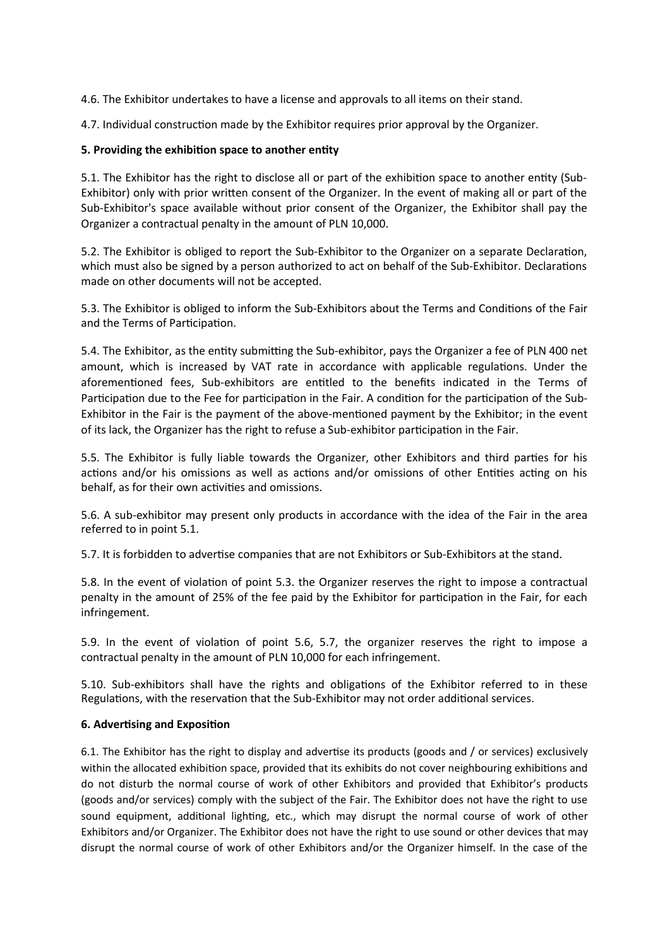4.6. The Exhibitor undertakes to have a license and approvals to all items on their stand.

4.7. Individual construction made by the Exhibitor requires prior approval by the Organizer.

## **5. Providing the exhibition space to another entity**

5.1. The Exhibitor has the right to disclose all or part of the exhibition space to another entity (Sub-Exhibitor) only with prior written consent of the Organizer. In the event of making all or part of the Sub-Exhibitor's space available without prior consent of the Organizer, the Exhibitor shall pay the Organizer a contractual penalty in the amount of PLN 10,000.

5.2. The Exhibitor is obliged to report the Sub-Exhibitor to the Organizer on a separate Declaration, which must also be signed by a person authorized to act on behalf of the Sub-Exhibitor. Declarations made on other documents will not be accepted.

5.3. The Exhibitor is obliged to inform the Sub-Exhibitors about the Terms and Conditions of the Fair and the Terms of Participation.

5.4. The Exhibitor, as the entity submitting the Sub-exhibitor, pays the Organizer a fee of PLN 400 net amount, which is increased by VAT rate in accordance with applicable regulations. Under the aforementioned fees, Sub-exhibitors are entitled to the benefits indicated in the Terms of Participation due to the Fee for participation in the Fair. A condition for the participation of the Sub-Exhibitor in the Fair is the payment of the above-mentioned payment by the Exhibitor; in the event of its lack, the Organizer has the right to refuse a Sub-exhibitor participation in the Fair.

5.5. The Exhibitor is fully liable towards the Organizer, other Exhibitors and third parties for his actions and/or his omissions as well as actions and/or omissions of other Entities acting on his behalf, as for their own activities and omissions.

5.6. A sub-exhibitor may present only products in accordance with the idea of the Fair in the area referred to in point 5.1.

5.7. It is forbidden to advertise companies that are not Exhibitors or Sub-Exhibitors at the stand.

5.8. In the event of violation of point 5.3. the Organizer reserves the right to impose a contractual penalty in the amount of 25% of the fee paid by the Exhibitor for participation in the Fair, for each infringement.

5.9. In the event of violation of point 5.6, 5.7, the organizer reserves the right to impose a contractual penalty in the amount of PLN 10,000 for each infringement.

5.10. Sub-exhibitors shall have the rights and obligations of the Exhibitor referred to in these Regulations, with the reservation that the Sub-Exhibitor may not order additional services.

### **6. Advertising and Exposition**

6.1. The Exhibitor has the right to display and advertise its products (goods and / or services) exclusively within the allocated exhibition space, provided that its exhibits do not cover neighbouring exhibitions and do not disturb the normal course of work of other Exhibitors and provided that Exhibitor's products (goods and/or services) comply with the subject of the Fair. The Exhibitor does not have the right to use sound equipment, additional lighting, etc., which may disrupt the normal course of work of other Exhibitors and/or Organizer. The Exhibitor does not have the right to use sound or other devices that may disrupt the normal course of work of other Exhibitors and/or the Organizer himself. In the case of the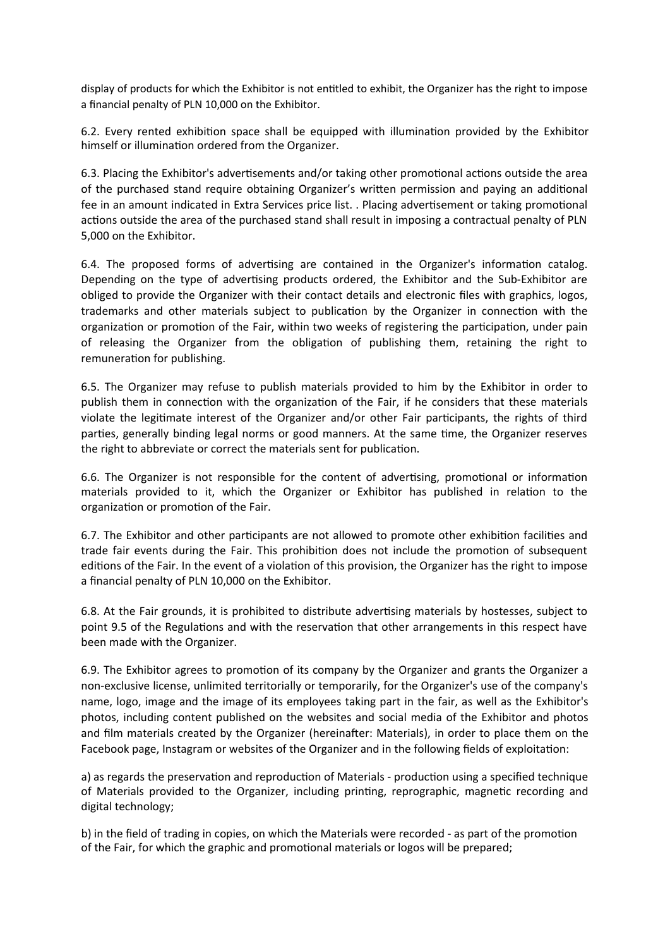display of products for which the Exhibitor is not entitled to exhibit, the Organizer has the right to impose a financial penalty of PLN 10,000 on the Exhibitor.

6.2. Every rented exhibition space shall be equipped with illumination provided by the Exhibitor himself or illumination ordered from the Organizer.

6.3. Placing the Exhibitor's advertisements and/or taking other promotional actions outside the area of the purchased stand require obtaining Organizer's written permission and paying an additional fee in an amount indicated in Extra Services price list. . Placing advertisement or taking promotional actions outside the area of the purchased stand shall result in imposing a contractual penalty of PLN 5,000 on the Exhibitor.

6.4. The proposed forms of advertising are contained in the Organizer's information catalog. Depending on the type of advertising products ordered, the Exhibitor and the Sub-Exhibitor are obliged to provide the Organizer with their contact details and electronic files with graphics, logos, trademarks and other materials subject to publication by the Organizer in connection with the organization or promotion of the Fair, within two weeks of registering the participation, under pain of releasing the Organizer from the obligation of publishing them, retaining the right to remuneration for publishing.

6.5. The Organizer may refuse to publish materials provided to him by the Exhibitor in order to publish them in connection with the organization of the Fair, if he considers that these materials violate the legitimate interest of the Organizer and/or other Fair participants, the rights of third parties, generally binding legal norms or good manners. At the same time, the Organizer reserves the right to abbreviate or correct the materials sent for publication.

6.6. The Organizer is not responsible for the content of advertising, promotional or information materials provided to it, which the Organizer or Exhibitor has published in relation to the organization or promotion of the Fair.

6.7. The Exhibitor and other participants are not allowed to promote other exhibition facilities and trade fair events during the Fair. This prohibition does not include the promotion of subsequent editions of the Fair. In the event of a violation of this provision, the Organizer has the right to impose a financial penalty of PLN 10,000 on the Exhibitor.

6.8. At the Fair grounds, it is prohibited to distribute advertising materials by hostesses, subject to point 9.5 of the Regulations and with the reservation that other arrangements in this respect have been made with the Organizer.

6.9. The Exhibitor agrees to promotion of its company by the Organizer and grants the Organizer a non-exclusive license, unlimited territorially or temporarily, for the Organizer's use of the company's name, logo, image and the image of its employees taking part in the fair, as well as the Exhibitor's photos, including content published on the websites and social media of the Exhibitor and photos and film materials created by the Organizer (hereinafter: Materials), in order to place them on the Facebook page, Instagram or websites of the Organizer and in the following fields of exploitation:

a) as regards the preservation and reproduction of Materials - production using a specified technique of Materials provided to the Organizer, including printing, reprographic, magnetic recording and digital technology;

b) in the field of trading in copies, on which the Materials were recorded - as part of the promotion of the Fair, for which the graphic and promotional materials or logos will be prepared;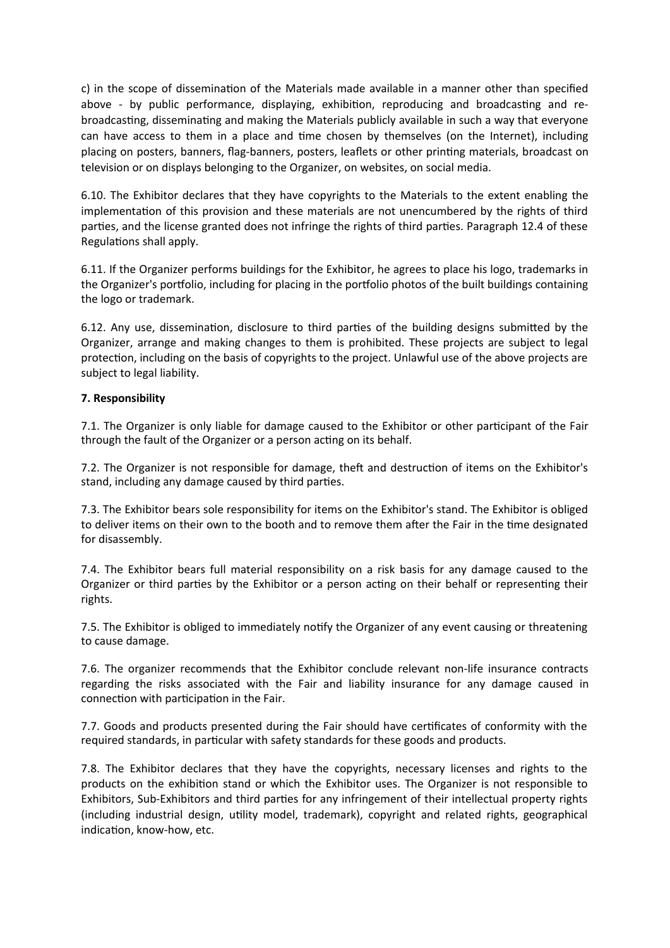c) in the scope of dissemination of the Materials made available in a manner other than specified above - by public performance, displaying, exhibition, reproducing and broadcasting and rebroadcasting, disseminating and making the Materials publicly available in such a way that everyone can have access to them in a place and time chosen by themselves (on the Internet), including placing on posters, banners, flag-banners, posters, leaflets or other printing materials, broadcast on television or on displays belonging to the Organizer, on websites, on social media.

6.10. The Exhibitor declares that they have copyrights to the Materials to the extent enabling the implementation of this provision and these materials are not unencumbered by the rights of third parties, and the license granted does not infringe the rights of third parties. Paragraph 12.4 of these Regulations shall apply.

6.11. If the Organizer performs buildings for the Exhibitor, he agrees to place his logo, trademarks in the Organizer's portfolio, including for placing in the portfolio photos of the built buildings containing the logo or trademark.

6.12. Any use, dissemination, disclosure to third parties of the building designs submitted by the Organizer, arrange and making changes to them is prohibited. These projects are subject to legal protection, including on the basis of copyrights to the project. Unlawful use of the above projects are subject to legal liability.

### **7. Responsibility**

7.1. The Organizer is only liable for damage caused to the Exhibitor or other participant of the Fair through the fault of the Organizer or a person acting on its behalf.

7.2. The Organizer is not responsible for damage, theft and destruction of items on the Exhibitor's stand, including any damage caused by third parties.

7.3. The Exhibitor bears sole responsibility for items on the Exhibitor's stand. The Exhibitor is obliged to deliver items on their own to the booth and to remove them after the Fair in the time designated for disassembly.

7.4. The Exhibitor bears full material responsibility on a risk basis for any damage caused to the Organizer or third parties by the Exhibitor or a person acting on their behalf or representing their rights.

7.5. The Exhibitor is obliged to immediately notify the Organizer of any event causing or threatening to cause damage.

7.6. The organizer recommends that the Exhibitor conclude relevant non-life insurance contracts regarding the risks associated with the Fair and liability insurance for any damage caused in connection with participation in the Fair.

7.7. Goods and products presented during the Fair should have certificates of conformity with the required standards, in particular with safety standards for these goods and products.

7.8. The Exhibitor declares that they have the copyrights, necessary licenses and rights to the products on the exhibition stand or which the Exhibitor uses. The Organizer is not responsible to Exhibitors, Sub-Exhibitors and third parties for any infringement of their intellectual property rights (including industrial design, utility model, trademark), copyright and related rights, geographical indication, know-how, etc.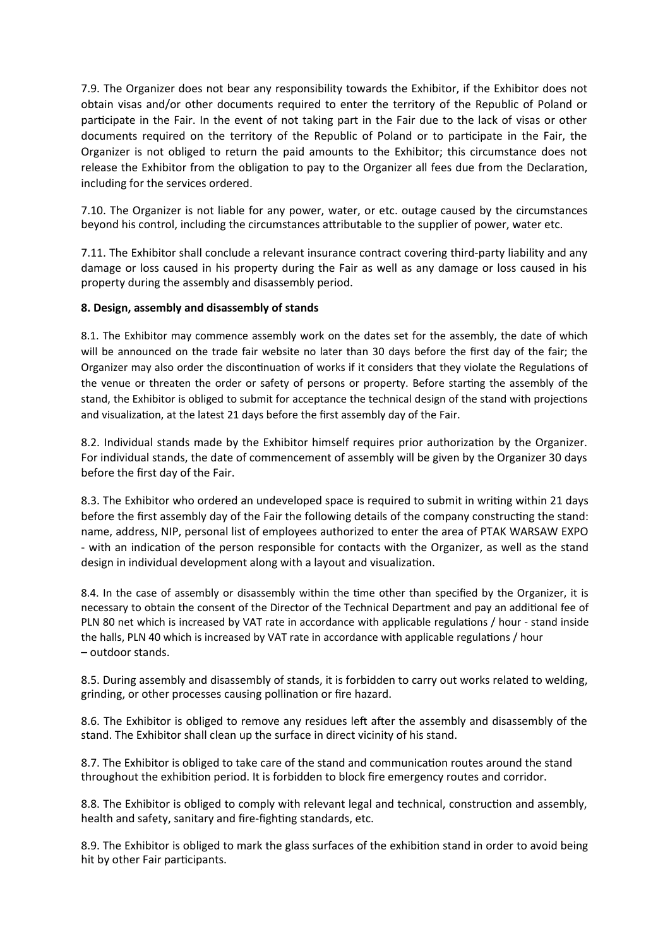7.9. The Organizer does not bear any responsibility towards the Exhibitor, if the Exhibitor does not obtain visas and/or other documents required to enter the territory of the Republic of Poland or participate in the Fair. In the event of not taking part in the Fair due to the lack of visas or other documents required on the territory of the Republic of Poland or to participate in the Fair, the Organizer is not obliged to return the paid amounts to the Exhibitor; this circumstance does not release the Exhibitor from the obligation to pay to the Organizer all fees due from the Declaration, including for the services ordered.

7.10. The Organizer is not liable for any power, water, or etc. outage caused by the circumstances beyond his control, including the circumstances attributable to the supplier of power, water etc.

7.11. The Exhibitor shall conclude a relevant insurance contract covering third-party liability and any damage or loss caused in his property during the Fair as well as any damage or loss caused in his property during the assembly and disassembly period.

### **8. Design, assembly and disassembly of stands**

8.1. The Exhibitor may commence assembly work on the dates set for the assembly, the date of which will be announced on the trade fair website no later than 30 days before the first day of the fair; the Organizer may also order the discontinuation of works if it considers that they violate the Regulations of the venue or threaten the order or safety of persons or property. Before starting the assembly of the stand, the Exhibitor is obliged to submit for acceptance the technical design of the stand with projections and visualization, at the latest 21 days before the first assembly day of the Fair.

8.2. Individual stands made by the Exhibitor himself requires prior authorization by the Organizer. For individual stands, the date of commencement of assembly will be given by the Organizer 30 days before the first day of the Fair.

8.3. The Exhibitor who ordered an undeveloped space is required to submit in writing within 21 days before the first assembly day of the Fair the following details of the company constructing the stand: name, address, NIP, personal list of employees authorized to enter the area of PTAK WARSAW EXPO - with an indication of the person responsible for contacts with the Organizer, as well as the stand design in individual development along with a layout and visualization.

8.4. In the case of assembly or disassembly within the time other than specified by the Organizer, it is necessary to obtain the consent of the Director of the Technical Department and pay an additional fee of PLN 80 net which is increased by VAT rate in accordance with applicable regulations / hour - stand inside the halls, PLN 40 which is increased by VAT rate in accordance with applicable regulations / hour – outdoor stands.

8.5. During assembly and disassembly of stands, it is forbidden to carry out works related to welding, grinding, or other processes causing pollination or fire hazard.

8.6. The Exhibitor is obliged to remove any residues left after the assembly and disassembly of the stand. The Exhibitor shall clean up the surface in direct vicinity of his stand.

8.7. The Exhibitor is obliged to take care of the stand and communication routes around the stand throughout the exhibition period. It is forbidden to block fire emergency routes and corridor.

8.8. The Exhibitor is obliged to comply with relevant legal and technical, construction and assembly, health and safety, sanitary and fire-fighting standards, etc.

8.9. The Exhibitor is obliged to mark the glass surfaces of the exhibition stand in order to avoid being hit by other Fair participants.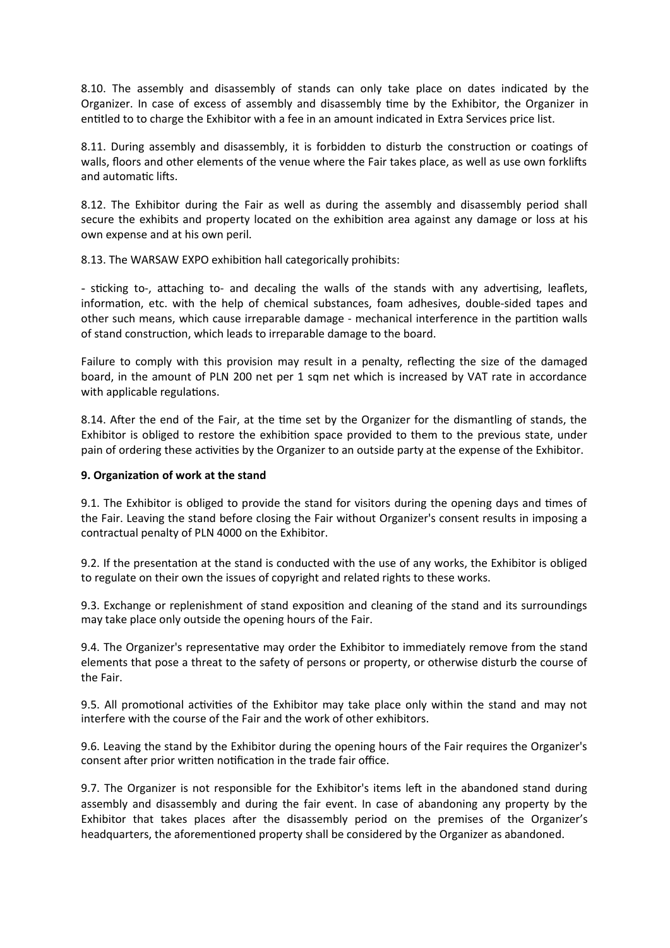8.10. The assembly and disassembly of stands can only take place on dates indicated by the Organizer. In case of excess of assembly and disassembly time by the Exhibitor, the Organizer in entitled to to charge the Exhibitor with a fee in an amount indicated in Extra Services price list.

8.11. During assembly and disassembly, it is forbidden to disturb the construction or coatings of walls, floors and other elements of the venue where the Fair takes place, as well as use own forklifts and automatic lifts.

8.12. The Exhibitor during the Fair as well as during the assembly and disassembly period shall secure the exhibits and property located on the exhibition area against any damage or loss at his own expense and at his own peril.

8.13. The WARSAW EXPO exhibition hall categorically prohibits:

- sticking to-, attaching to- and decaling the walls of the stands with any advertising, leaflets, information, etc. with the help of chemical substances, foam adhesives, double-sided tapes and other such means, which cause irreparable damage - mechanical interference in the partition walls of stand construction, which leads to irreparable damage to the board.

Failure to comply with this provision may result in a penalty, reflecting the size of the damaged board, in the amount of PLN 200 net per 1 sqm net which is increased by VAT rate in accordance with applicable regulations.

8.14. After the end of the Fair, at the time set by the Organizer for the dismantling of stands, the Exhibitor is obliged to restore the exhibition space provided to them to the previous state, under pain of ordering these activities by the Organizer to an outside party at the expense of the Exhibitor.

#### **9. Organization of work at the stand**

9.1. The Exhibitor is obliged to provide the stand for visitors during the opening days and times of the Fair. Leaving the stand before closing the Fair without Organizer's consent results in imposing a contractual penalty of PLN 4000 on the Exhibitor.

9.2. If the presentation at the stand is conducted with the use of any works, the Exhibitor is obliged to regulate on their own the issues of copyright and related rights to these works.

9.3. Exchange or replenishment of stand exposition and cleaning of the stand and its surroundings may take place only outside the opening hours of the Fair.

9.4. The Organizer's representative may order the Exhibitor to immediately remove from the stand elements that pose a threat to the safety of persons or property, or otherwise disturb the course of the Fair.

9.5. All promotional activities of the Exhibitor may take place only within the stand and may not interfere with the course of the Fair and the work of other exhibitors.

9.6. Leaving the stand by the Exhibitor during the opening hours of the Fair requires the Organizer's consent after prior written notification in the trade fair office.

9.7. The Organizer is not responsible for the Exhibitor's items left in the abandoned stand during assembly and disassembly and during the fair event. In case of abandoning any property by the Exhibitor that takes places after the disassembly period on the premises of the Organizer's headquarters, the aforementioned property shall be considered by the Organizer as abandoned.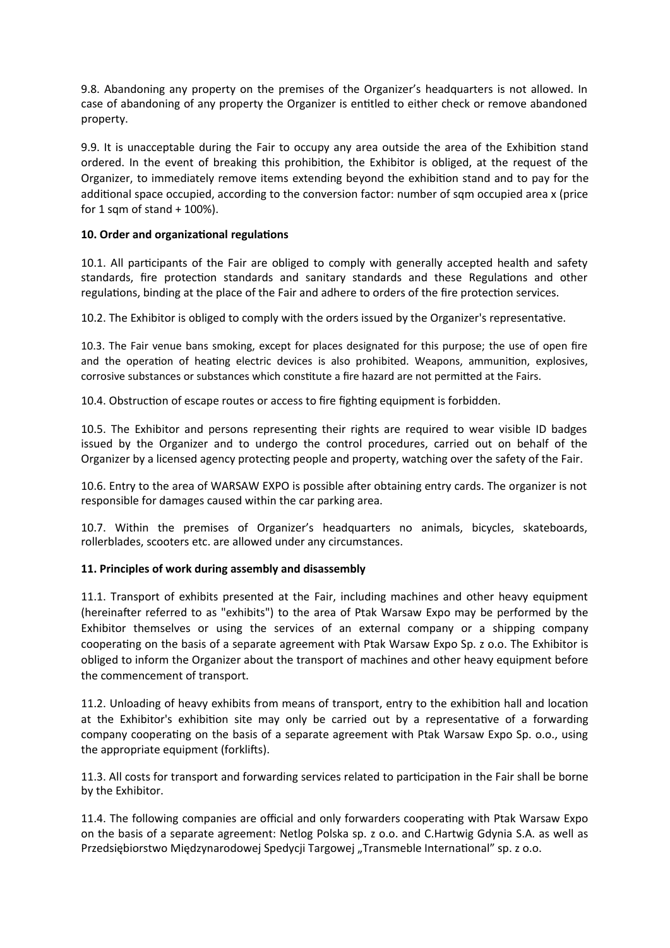9.8. Abandoning any property on the premises of the Organizer's headquarters is not allowed. In case of abandoning of any property the Organizer is entitled to either check or remove abandoned property.

9.9. It is unacceptable during the Fair to occupy any area outside the area of the Exhibition stand ordered. In the event of breaking this prohibition, the Exhibitor is obliged, at the request of the Organizer, to immediately remove items extending beyond the exhibition stand and to pay for the additional space occupied, according to the conversion factor: number of sqm occupied area x (price for 1 sqm of stand + 100%).

# **10. Order and organizational regulations**

10.1. All participants of the Fair are obliged to comply with generally accepted health and safety standards, fire protection standards and sanitary standards and these Regulations and other regulations, binding at the place of the Fair and adhere to orders of the fire protection services.

10.2. The Exhibitor is obliged to comply with the orders issued by the Organizer's representative.

10.3. The Fair venue bans smoking, except for places designated for this purpose; the use of open fire and the operation of heating electric devices is also prohibited. Weapons, ammunition, explosives, corrosive substances or substances which constitute a fire hazard are not permitted at the Fairs.

10.4. Obstruction of escape routes or access to fire fighting equipment is forbidden.

10.5. The Exhibitor and persons representing their rights are required to wear visible ID badges issued by the Organizer and to undergo the control procedures, carried out on behalf of the Organizer by a licensed agency protecting people and property, watching over the safety of the Fair.

10.6. Entry to the area of WARSAW EXPO is possible after obtaining entry cards. The organizer is not responsible for damages caused within the car parking area.

10.7. Within the premises of Organizer's headquarters no animals, bicycles, skateboards, rollerblades, scooters etc. are allowed under any circumstances.

# **11. Principles of work during assembly and disassembly**

11.1. Transport of exhibits presented at the Fair, including machines and other heavy equipment (hereinafter referred to as "exhibits") to the area of Ptak Warsaw Expo may be performed by the Exhibitor themselves or using the services of an external company or a shipping company cooperating on the basis of a separate agreement with Ptak Warsaw Expo Sp. z o.o. The Exhibitor is obliged to inform the Organizer about the transport of machines and other heavy equipment before the commencement of transport.

11.2. Unloading of heavy exhibits from means of transport, entry to the exhibition hall and location at the Exhibitor's exhibition site may only be carried out by a representative of a forwarding company cooperating on the basis of a separate agreement with Ptak Warsaw Expo Sp. o.o., using the appropriate equipment (forklifts).

11.3. All costs for transport and forwarding services related to participation in the Fair shall be borne by the Exhibitor.

11.4. The following companies are official and only forwarders cooperating with Ptak Warsaw Expo on the basis of a separate agreement: Netlog Polska sp. z o.o. and C.Hartwig Gdynia S.A. as well as Przedsiębiorstwo Międzynarodowej Spedycji Targowej "Transmeble International" sp. z o.o.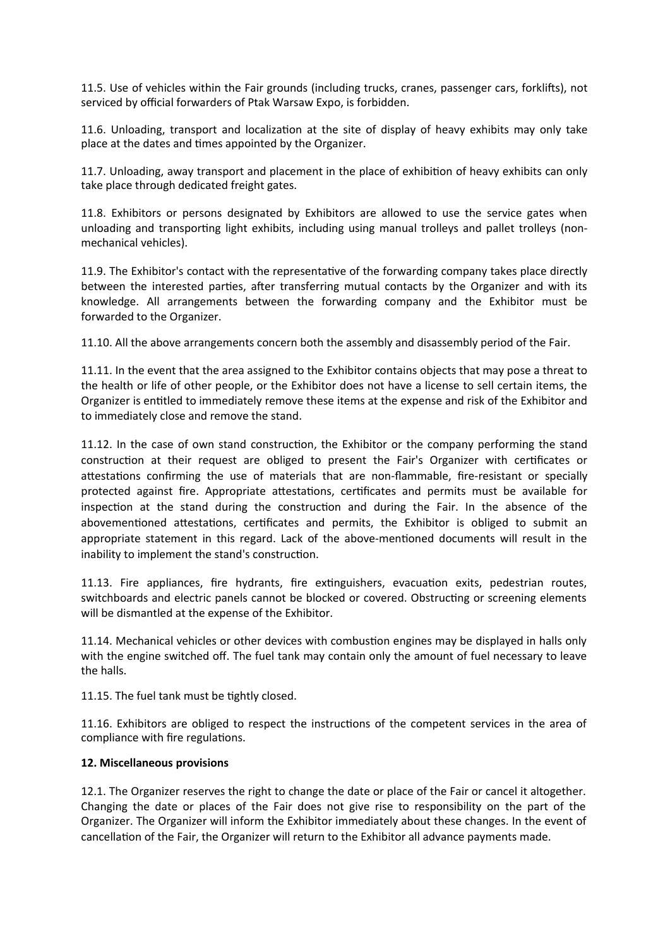11.5. Use of vehicles within the Fair grounds (including trucks, cranes, passenger cars, forklifts), not serviced by official forwarders of Ptak Warsaw Expo, is forbidden.

11.6. Unloading, transport and localization at the site of display of heavy exhibits may only take place at the dates and times appointed by the Organizer.

11.7. Unloading, away transport and placement in the place of exhibition of heavy exhibits can only take place through dedicated freight gates.

11.8. Exhibitors or persons designated by Exhibitors are allowed to use the service gates when unloading and transporting light exhibits, including using manual trolleys and pallet trolleys (nonmechanical vehicles).

11.9. The Exhibitor's contact with the representative of the forwarding company takes place directly between the interested parties, after transferring mutual contacts by the Organizer and with its knowledge. All arrangements between the forwarding company and the Exhibitor must be forwarded to the Organizer.

11.10. All the above arrangements concern both the assembly and disassembly period of the Fair.

11.11. In the event that the area assigned to the Exhibitor contains objects that may pose a threat to the health or life of other people, or the Exhibitor does not have a license to sell certain items, the Organizer is entitled to immediately remove these items at the expense and risk of the Exhibitor and to immediately close and remove the stand.

11.12. In the case of own stand construction, the Exhibitor or the company performing the stand construction at their request are obliged to present the Fair's Organizer with certificates or attestations confirming the use of materials that are non-flammable, fire-resistant or specially protected against fire. Appropriate attestations, certificates and permits must be available for inspection at the stand during the construction and during the Fair. In the absence of the abovementioned attestations, certificates and permits, the Exhibitor is obliged to submit an appropriate statement in this regard. Lack of the above-mentioned documents will result in the inability to implement the stand's construction.

11.13. Fire appliances, fire hydrants, fire extinguishers, evacuation exits, pedestrian routes, switchboards and electric panels cannot be blocked or covered. Obstructing or screening elements will be dismantled at the expense of the Exhibitor.

11.14. Mechanical vehicles or other devices with combustion engines may be displayed in halls only with the engine switched off. The fuel tank may contain only the amount of fuel necessary to leave the halls.

11.15. The fuel tank must be tightly closed.

11.16. Exhibitors are obliged to respect the instructions of the competent services in the area of compliance with fire regulations.

### **12. Miscellaneous provisions**

12.1. The Organizer reserves the right to change the date or place of the Fair or cancel it altogether. Changing the date or places of the Fair does not give rise to responsibility on the part of the Organizer. The Organizer will inform the Exhibitor immediately about these changes. In the event of cancellation of the Fair, the Organizer will return to the Exhibitor all advance payments made.